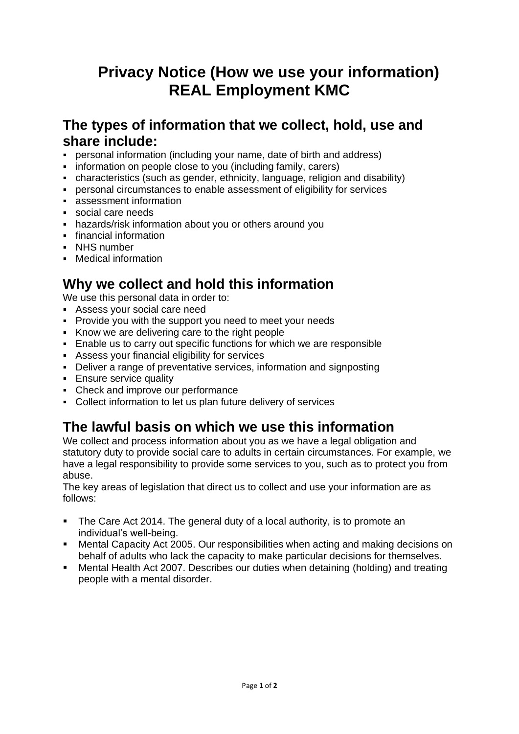# **Privacy Notice (How we use your information) REAL Employment KMC**

#### **The types of information that we collect, hold, use and share include:**

- personal information (including your name, date of birth and address)
- **•** information on people close to you (including family, carers)
- characteristics (such as gender, ethnicity, language, religion and disability)
- personal circumstances to enable assessment of eligibility for services
- **EXEC** assessment information
- social care needs
- hazards/risk information about you or others around you
- financial information
- NHS number
- Medical information

## **Why we collect and hold this information**

We use this personal data in order to:

- Assess your social care need
- Provide you with the support you need to meet your needs
- Know we are delivering care to the right people
- Enable us to carry out specific functions for which we are responsible
- Assess your financial eligibility for services
- Deliver a range of preventative services, information and signposting
- **Ensure service quality**
- Check and improve our performance
- Collect information to let us plan future delivery of services

#### **The lawful basis on which we use this information**

We collect and process information about you as we have a legal obligation and statutory duty to provide social care to adults in certain circumstances. For example, we have a legal responsibility to provide some services to you, such as to protect you from abuse.

The key areas of legislation that direct us to collect and use your information are as follows:

- The Care Act 2014. The general duty of a local authority, is to promote an individual's well-being.
- Mental Capacity Act 2005. Our responsibilities when acting and making decisions on behalf of adults who lack the capacity to make particular decisions for themselves.
- Mental Health Act 2007. Describes our duties when detaining (holding) and treating people with a mental disorder.